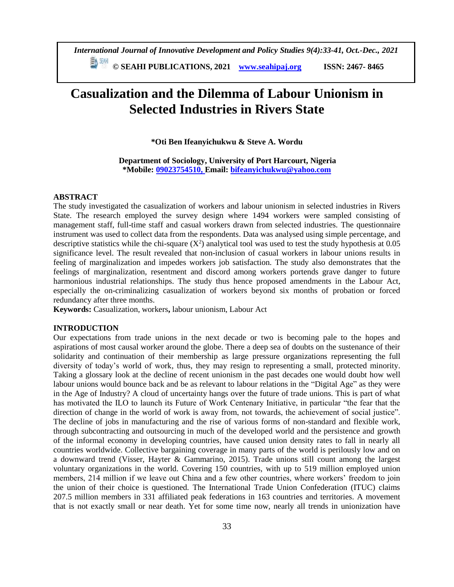**© SEAHI PUBLICATIONS, 2021 [www.seahipaj.org](http://www.seahipaj.org/) ISSN: 2467- 8465**

# **Casualization and the Dilemma of Labour Unionism in Selected Industries in Rivers State**

**\*Oti Ben Ifeanyichukwu & Steve A. Wordu**

**Department of Sociology, University of Port Harcourt, Nigeria \*Mobile: 09023754510, Email: [bifeanyichukwu@yahoo.com](mailto:bifeanyichukwu@yahoo.com)**

# **ABSTRACT**

The study investigated the casualization of workers and labour unionism in selected industries in Rivers State. The research employed the survey design where 1494 workers were sampled consisting of management staff, full-time staff and casual workers drawn from selected industries. The questionnaire instrument was used to collect data from the respondents. Data was analysed using simple percentage, and descriptive statistics while the chi-square  $(X^2)$  analytical tool was used to test the study hypothesis at 0.05 significance level. The result revealed that non-inclusion of casual workers in labour unions results in feeling of marginalization and impedes workers job satisfaction. The study also demonstrates that the feelings of marginalization, resentment and discord among workers portends grave danger to future harmonious industrial relationships. The study thus hence proposed amendments in the Labour Act, especially the on-criminalizing casualization of workers beyond six months of probation or forced redundancy after three months.

**Keywords:** Casualization, workers**,** labour unionism, Labour Act

# **INTRODUCTION**

Our expectations from trade unions in the next decade or two is becoming pale to the hopes and aspirations of most causal worker around the globe. There a deep sea of doubts on the sustenance of their solidarity and continuation of their membership as large pressure organizations representing the full diversity of today's world of work, thus, they may resign to representing a small, protected minority. Taking a glossary look at the decline of recent unionism in the past decades one would doubt how well labour unions would bounce back and be as relevant to labour relations in the "Digital Age" as they were in the Age of Industry? A cloud of uncertainty hangs over the future of trade unions. This is part of what has motivated the ILO to launch its Future of Work Centenary Initiative, in particular "the fear that the direction of change in the world of work is away from, not towards, the achievement of social justice". The decline of jobs in manufacturing and the rise of various forms of non-standard and flexible work, through subcontracting and outsourcing in much of the developed world and the persistence and growth of the informal economy in developing countries, have caused union density rates to fall in nearly all countries worldwide. Collective bargaining coverage in many parts of the world is perilously low and on a downward trend (Visser, Hayter & Gammarino, 2015). Trade unions still count among the largest voluntary organizations in the world. Covering 150 countries, with up to 519 million employed union members, 214 million if we leave out China and a few other countries, where workers' freedom to join the union of their choice is questioned. The International Trade Union Confederation (ITUC) claims 207.5 million members in 331 affiliated peak federations in 163 countries and territories. A movement that is not exactly small or near death. Yet for some time now, nearly all trends in unionization have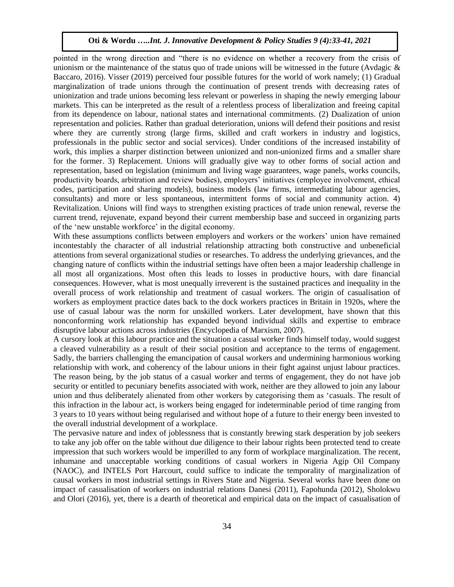pointed in the wrong direction and "there is no evidence on whether a recovery from the crisis of unionism or the maintenance of the status quo of trade unions will be witnessed in the future (Avdagic  $\&$ Baccaro, 2016). Visser (2019) perceived four possible futures for the world of work namely; (1) Gradual marginalization of trade unions through the continuation of present trends with decreasing rates of unionization and trade unions becoming less relevant or powerless in shaping the newly emerging labour markets. This can be interpreted as the result of a relentless process of liberalization and freeing capital from its dependence on labour, national states and international commitments. (2) Dualization of union representation and policies. Rather than gradual deterioration, unions will defend their positions and resist where they are currently strong (large firms, skilled and craft workers in industry and logistics, professionals in the public sector and social services). Under conditions of the increased instability of work, this implies a sharper distinction between unionized and non-unionized firms and a smaller share for the former. 3) Replacement. Unions will gradually give way to other forms of social action and representation, based on legislation (minimum and living wage guarantees, wage panels, works councils, productivity boards, arbitration and review bodies), employers' initiatives (employee involvement, ethical codes, participation and sharing models), business models (law firms, intermediating labour agencies, consultants) and more or less spontaneous, intermittent forms of social and community action. 4) Revitalization. Unions will find ways to strengthen existing practices of trade union renewal, reverse the current trend, rejuvenate, expand beyond their current membership base and succeed in organizing parts of the 'new unstable workforce' in the digital economy.

With these assumptions conflicts between employers and workers or the workers' union have remained incontestably the character of all industrial relationship attracting both constructive and unbeneficial attentions from several organizational studies or researches. To address the underlying grievances, and the changing nature of conflicts within the industrial settings have often been a major leadership challenge in all most all organizations. Most often this leads to losses in productive hours, with dare financial consequences. However, what is most unequally irreverent is the sustained practices and inequality in the overall process of work relationship and treatment of casual workers. The origin of casualisation of workers as employment practice dates back to the dock workers practices in Britain in 1920s, where the use of casual labour was the norm for unskilled workers. Later development, have shown that this nonconforming work relationship has expanded beyond individual skills and expertise to embrace disruptive labour actions across industries (Encyclopedia of Marxism, 2007).

A cursory look at this labour practice and the situation a casual worker finds himself today, would suggest a cleaved vulnerability as a result of their social position and acceptance to the terms of engagement. Sadly, the barriers challenging the emancipation of causal workers and undermining harmonious working relationship with work, and coherency of the labour unions in their fight against unjust labour practices. The reason being, by the job status of a casual worker and terms of engagement, they do not have job security or entitled to pecuniary benefits associated with work, neither are they allowed to join any labour union and thus deliberately alienated from other workers by categorising them as 'casuals. The result of this infraction in the labour act, is workers being engaged for indeterminable period of time ranging from 3 years to 10 years without being regularised and without hope of a future to their energy been invested to the overall industrial development of a workplace.

The pervasive nature and index of joblessness that is constantly brewing stark desperation by job seekers to take any job offer on the table without due diligence to their labour rights been protected tend to create impression that such workers would be imperilled to any form of workplace marginalization. The recent, inhumane and unacceptable working conditions of casual workers in Nigeria Agip Oil Company (NAOC), and INTELS Port Harcourt, could suffice to indicate the temporality of marginalization of causal workers in most industrial settings in Rivers State and Nigeria. Several works have been done on impact of casualisation of workers on industrial relations Danesi (2011), Fapohunda (2012), Sholokwu and Olori (2016), yet*,* there is a dearth of theoretical and empirical data on the impact of casualisation of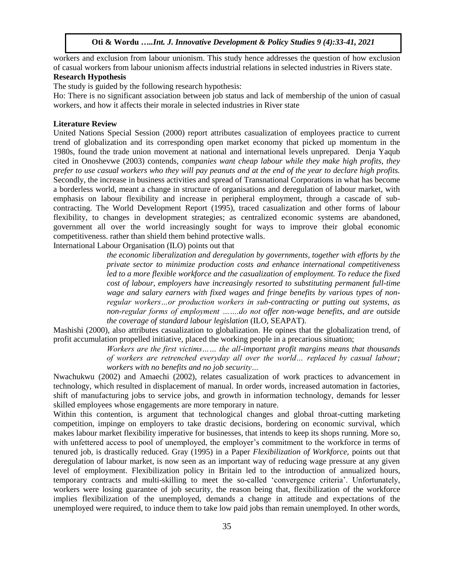workers and exclusion from labour unionism. This study hence addresses the question of how exclusion of casual workers from labour unionism affects industrial relations in selected industries in Rivers state.

# **Research Hypothesis**

The study is guided by the following research hypothesis:

Ho: There is no significant association between job status and lack of membership of the union of casual workers, and how it affects their morale in selected industries in River state

#### **Literature Review**

United Nations Special Session (2000) report attributes casualization of employees practice to current trend of globalization and its corresponding open market economy that picked up momentum in the 1980s, found the trade union movement at national and international levels unprepared. Denja Yaqub cited in Onoshevwe (2003) contends, *companies want cheap labour while they make high profits, they prefer to use casual workers who they will pay peanuts and at the end of the year to declare high profits.* Secondly, the increase in business activities and spread of Transnational Corporations in what has become a borderless world, meant a change in structure of organisations and deregulation of labour market, with emphasis on labour flexibility and increase in peripheral employment, through a cascade of subcontracting. The World Development Report (1995), traced casualization and other forms of labour flexibility, to changes in development strategies; as centralized economic systems are abandoned, government all over the world increasingly sought for ways to improve their global economic competitiveness. rather than shield them behind protective walls.

International Labour Organisation (ILO) points out that

*the economic liberalization and deregulation by governments, together with efforts by the private sector to minimize production costs and enhance international competitiveness*  led to a more flexible workforce and the casualization of employment. To reduce the fixed *cost of labour, employers have increasingly resorted to substituting permanent full-time wage and salary earners with fixed wages and fringe benefits by various types of nonregular workers…or production workers in sub-contracting or putting out systems, as non-regular forms of employment …….do not offer non-wage benefits, and are outside the coverage of standard labour legislation* (ILO, SEAPAT).

Mashishi (2000), also attributes casualization to globalization. He opines that the globalization trend, of profit accumulation propelled initiative, placed the working people in a precarious situation;

*Workers are the first victims…… the all-important profit margins means that thousands of workers are retrenched everyday all over the world… replaced by casual labour; workers with no benefits and no job security…*

Nwachukwu (2002) and Amaechi (2002), relates casualization of work practices to advancement in technology, which resulted in displacement of manual. In order words, increased automation in factories, shift of manufacturing jobs to service jobs, and growth in information technology, demands for lesser skilled employees whose engagements are more temporary in nature.

Within this contention, is argument that technological changes and global throat-cutting marketing competition, impinge on employers to take drastic decisions, bordering on economic survival, which makes labour market flexibility imperative for businesses, that intends to keep its shops running. More so, with unfettered access to pool of unemployed, the employer's commitment to the workforce in terms of tenured job, is drastically reduced. Gray (1995) in a Paper *Flexibilization of Workforce,* points out that deregulation of labour market, is now seen as an important way of reducing wage pressure at any given level of employment. Flexibilization policy in Britain led to the introduction of annualized hours, temporary contracts and multi-skilling to meet the so-called 'convergence criteria'. Unfortunately, workers were losing guarantee of job security, the reason being that, flexibilization of the workforce implies flexibilization of the unemployed, demands a change in attitude and expectations of the unemployed were required, to induce them to take low paid jobs than remain unemployed. In other words,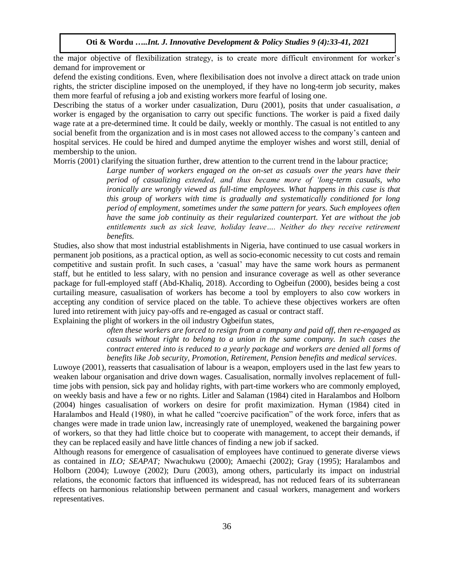the major objective of flexibilization strategy, is to create more difficult environment for worker's demand for improvement or

defend the existing conditions. Even, where flexibilisation does not involve a direct attack on trade union rights, the stricter discipline imposed on the unemployed, if they have no long-term job security, makes them more fearful of refusing a job and existing workers more fearful of losing one.

Describing the status of a worker under casualization, Duru (2001), posits that under casualisation*, a*  worker is engaged by the organisation to carry out specific functions. The worker is paid a fixed daily wage rate at a pre-determined time. It could be daily, weekly or monthly. The casual is not entitled to any social benefit from the organization and is in most cases not allowed access to the company's canteen and hospital services. He could be hired and dumped anytime the employer wishes and worst still, denial of membership to the union.

Morris (2001) clarifying the situation further, drew attention to the current trend in the labour practice;

*Large number of workers engaged on the on-set as casuals over the years have their period of casualizing extended, and thus became more of 'long-term casuals, who ironically are wrongly viewed as full-time employees. What happens in this case is that this group of workers with time is gradually and systematically conditioned for long period of employment, sometimes under the same pattern for years. Such employees often have the same job continuity as their regularized counterpart. Yet are without the job entitlements such as sick leave, holiday leave…. Neither do they receive retirement benefits.*

Studies, also show that most industrial establishments in Nigeria, have continued to use casual workers in permanent job positions, as a practical option, as well as socio-economic necessity to cut costs and remain competitive and sustain profit. In such cases, a 'casual' may have the same work hours as permanent staff, but he entitled to less salary, with no pension and insurance coverage as well as other severance package for full-employed staff (Abd-Khaliq, 2018). According to Ogbeifun (2000), besides being a cost curtailing measure, casualisation of workers has become a tool by employers to also cow workers in accepting any condition of service placed on the table. To achieve these objectives workers are often lured into retirement with juicy pay-offs and re-engaged as casual or contract staff.

Explaining the plight of workers in the oil industry Ogbeifun states,

*often these workers are forced to resign from a company and paid off, then re-engaged as casuals without right to belong to a union in the same company. In such cases the contract entered into is reduced to a yearly package and workers are denied all forms of benefits like Job security, Promotion, Retirement, Pension benefits and medical services*.

Luwoye (2001), reasserts that casualisation of labour is a weapon, employers used in the last few years to weaken labour organisation and drive down wages. Casualisation, normally involves replacement of fulltime jobs with pension, sick pay and holiday rights, with part-time workers who are commonly employed, on weekly basis and have a few or no rights. Litler and Salaman (1984) cited in Haralambos and Holborn (2004) hinges casualisation of workers on desire for profit maximization. Hyman (1984) cited in Haralambos and Heald (1980), in what he called "coercive pacification" of the work force, infers that as changes were made in trade union law, increasingly rate of unemployed, weakened the bargaining power of workers, so that they had little choice but to cooperate with management, to accept their demands, if they can be replaced easily and have little chances of finding a new job if sacked.

Although reasons for emergence of casualisation of employees have continued to generate diverse views as contained in *ILO; SEAPAT;* Nwachukwu (2000); Amaechi (2002); Gray (1995); Haralambos and Holborn (2004); Luwoye (2002); Duru (2003), among others, particularly its impact on industrial relations, the economic factors that influenced its widespread, has not reduced fears of its subterranean effects on harmonious relationship between permanent and casual workers, management and workers representatives.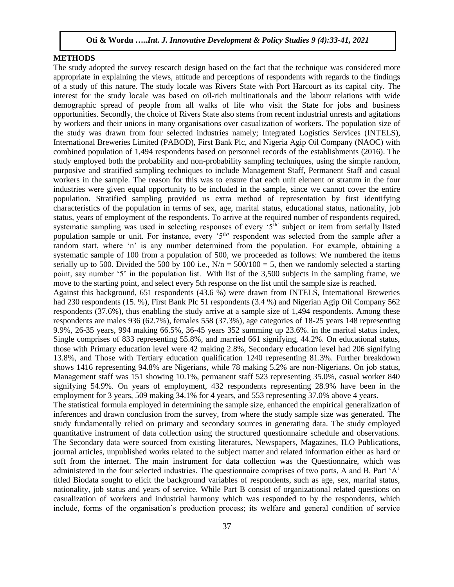# **METHODS**

The study adopted the survey research design based on the fact that the technique was considered more appropriate in explaining the views, attitude and perceptions of respondents with regards to the findings of a study of this nature. The study locale was Rivers State with Port Harcourt as its capital city. The interest for the study locale was based on oil-rich multinationals and the labour relations with wide demographic spread of people from all walks of life who visit the State for jobs and business opportunities. Secondly, the choice of Rivers State also stems from recent industrial unrests and agitations by workers and their unions in many organisations over casualization of workers**.** The population size of the study was drawn from four selected industries namely; Integrated Logistics Services (INTELS), International Breweries Limited (PABOD), First Bank Plc, and Nigeria Agip Oil Company (NAOC) with combined population of 1,494 respondents based on personnel records of the establishments (2016). The study employed both the probability and non-probability sampling techniques, using the simple random, purposive and stratified sampling techniques to include Management Staff, Permanent Staff and casual workers in the sample. The reason for this was to ensure that each unit element or stratum in the four industries were given equal opportunity to be included in the sample, since we cannot cover the entire population. Stratified sampling provided us extra method of representation by first identifying characteristics of the population in terms of sex, age, marital status, educational status, nationality, job status, years of employment of the respondents. To arrive at the required number of respondents required, systematic sampling was used in selecting responses of every '5<sup>th</sup>' subject or item from serially listed population sample or unit. For instance, every '5<sup>th</sup>' respondent was selected from the sample after a random start, where 'n' is any number determined from the population. For example, obtaining a systematic sample of 100 from a population of 500, we proceeded as follows: We numbered the items serially up to 500. Divided the 500 by 100 i.e.,  $N/n = 500/100 = 5$ , then we randomly selected a starting point, say number '5' in the population list. With list of the 3,500 subjects in the sampling frame, we move to the starting point, and select every 5th response on the list until the sample size is reached. Against this background, 651 respondents (43.6 %) were drawn from INTELS, International Breweries had 230 respondents (15. %), First Bank Plc 51 respondents (3.4 %) and Nigerian Agip Oil Company 562 respondents (37.6%), thus enabling the study arrive at a sample size of 1,494 respondents. Among these respondents are males 936 (62.7%), females 558 (37.3%), age categories of 18-25 years 148 representing 9.9%, 26-35 years, 994 making 66.5%, 36-45 years 352 summing up 23.6%. in the marital status index, Single comprises of 833 representing 55.8%, and married 661 signifying, 44.2%. On educational status, those with Primary education level were 42 making 2.8%, Secondary education level had 206 signifying

13.8%, and Those with Tertiary education qualification 1240 representing 81.3%. Further breakdown shows 1416 representing 94.8% are Nigerians, while 78 making 5.2% are non-Nigerians. On job status, Management staff was 151 showing 10.1%, permanent staff 523 representing 35.0%, casual worker 840 signifying 54.9%. On years of employment, 432 respondents representing 28.9% have been in the employment for 3 years, 509 making 34.1% for 4 years, and 553 representing 37.0% above 4 years.

The statistical formula employed in determining the sample size, enhanced the empirical generalization of inferences and drawn conclusion from the survey, from where the study sample size was generated. The study fundamentally relied on primary and secondary sources in generating data. The study employed quantitative instrument of data collection using the structured questionnaire schedule and observations. The Secondary data were sourced from existing literatures, Newspapers, Magazines, ILO Publications, journal articles, unpublished works related to the subject matter and related information either as hard or soft from the internet. The main instrument for data collection was the Questionnaire, which was administered in the four selected industries. The questionnaire comprises of two parts, A and B. Part 'A' titled Biodata sought to elicit the background variables of respondents, such as age, sex, marital status, nationality, job status and years of service. While Part B consist of organizational related questions on casualization of workers and industrial harmony which was responded to by the respondents, which include, forms of the organisation's production process; its welfare and general condition of service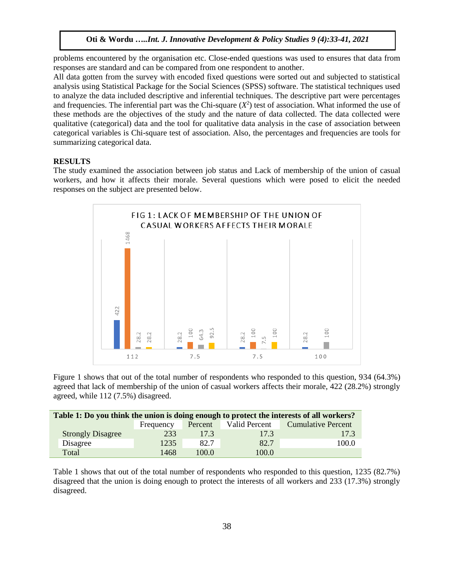problems encountered by the organisation etc. Close-ended questions was used to ensures that data from responses are standard and can be compared from one respondent to another.

All data gotten from the survey with encoded fixed questions were sorted out and subjected to statistical analysis using Statistical Package for the Social Sciences (SPSS) software. The statistical techniques used to analyze the data included descriptive and inferential techniques. The descriptive part were percentages and frequencies. The inferential part was the Chi-square  $(X^2)$  test of association. What informed the use of these methods are the objectives of the study and the nature of data collected. The data collected were qualitative (categorical) data and the tool for qualitative data analysis in the case of association between categorical variables is Chi-square test of association. Also, the percentages and frequencies are tools for summarizing categorical data.

# **RESULTS**

The study examined the association between job status and Lack of membership of the union of casual workers, and how it affects their morale. Several questions which were posed to elicit the needed responses on the subject are presented below.



Figure 1 shows that out of the total number of respondents who responded to this question, 934 (64.3%) agreed that lack of membership of the union of casual workers affects their morale, 422 (28.2%) strongly agreed, while 112 (7.5%) disagreed.

| Table 1: Do you think the union is doing enough to protect the interests of all workers? |                          |           |         |               |                           |  |
|------------------------------------------------------------------------------------------|--------------------------|-----------|---------|---------------|---------------------------|--|
|                                                                                          |                          | Frequency | Percent | Valid Percent | <b>Cumulative Percent</b> |  |
|                                                                                          | <b>Strongly Disagree</b> | 233       | 17.3    | 17.3          | 17.3                      |  |
|                                                                                          | Disagree                 | 1235      | 82.7    | 82.7          | 100.0                     |  |
|                                                                                          | Total                    | 1468.     | 100.0   | 100.0         |                           |  |

Table 1 shows that out of the total number of respondents who responded to this question, 1235 (82.7%) disagreed that the union is doing enough to protect the interests of all workers and 233 (17.3%) strongly disagreed.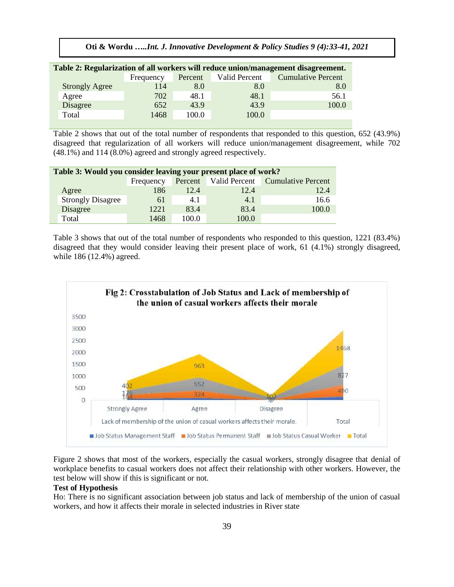**Oti & Wordu …***..Int. J. Innovative Development & Policy Studies 9 (4):33-41, 2021*

| Table 2: Regularization of all workers will reduce union/management disagreement. |                       |           |         |               |                           |  |
|-----------------------------------------------------------------------------------|-----------------------|-----------|---------|---------------|---------------------------|--|
|                                                                                   |                       | Frequency | Percent | Valid Percent | <b>Cumulative Percent</b> |  |
|                                                                                   | <b>Strongly Agree</b> | 114       | 8.0     | 8.0           | 8.0                       |  |
|                                                                                   | Agree                 | 702       | 48.1    | 48.1          | 56.1                      |  |
|                                                                                   | Disagree              | 652       | 43.9    | 43.9          | 100.0                     |  |
|                                                                                   | Total                 | 1468      | 100.0   | 100.0         |                           |  |
|                                                                                   |                       |           |         |               |                           |  |

Table 2 shows that out of the total number of respondents that responded to this question, 652 (43.9%) disagreed that regularization of all workers will reduce union/management disagreement, while 702 (48.1%) and 114 (8.0%) agreed and strongly agreed respectively.

| Table 3: Would you consider leaving your present place of work? |                          |           |         |                      |                           |
|-----------------------------------------------------------------|--------------------------|-----------|---------|----------------------|---------------------------|
|                                                                 |                          | Frequency | Percent | <b>Valid Percent</b> | <b>Cumulative Percent</b> |
|                                                                 | Agree                    | 186       | 12.4    | 12.4                 | 12.4                      |
|                                                                 | <b>Strongly Disagree</b> | 61        | 4.1     | 4.1                  | 16.6                      |
|                                                                 | Disagree                 | 1221      | 83.4    | 83.4                 | 100.0                     |
|                                                                 | Total                    | 1468      | 100.0   | 100.0                |                           |

Table 3 shows that out of the total number of respondents who responded to this question, 1221 (83.4%) disagreed that they would consider leaving their present place of work, 61 (4.1%) strongly disagreed, while 186 (12.4%) agreed.



Figure 2 shows that most of the workers, especially the casual workers, strongly disagree that denial of workplace benefits to casual workers does not affect their relationship with other workers. However, the test below will show if this is significant or not.

## **Test of Hypothesis**

Ho: There is no significant association between job status and lack of membership of the union of casual workers, and how it affects their morale in selected industries in River state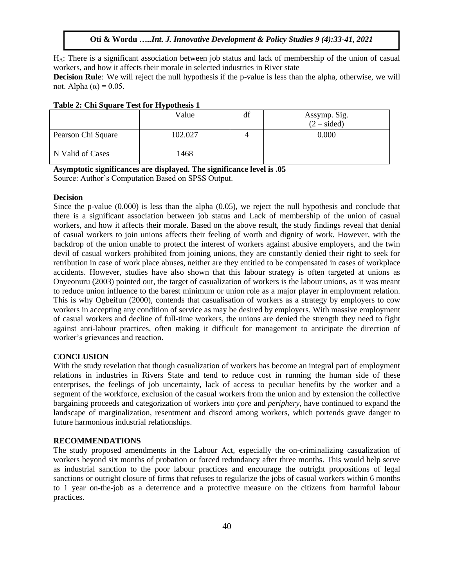HA: There is a significant association between job status and lack of membership of the union of casual workers, and how it affects their morale in selected industries in River state

**Decision Rule**: We will reject the null hypothesis if the p-value is less than the alpha, otherwise, we will not. Alpha (α) = 0.05.

|                    | . .<br>Value | df | Assymp. Sig.<br>$(2 - sided)$ |
|--------------------|--------------|----|-------------------------------|
| Pearson Chi Square | 102.027      |    | 0.000                         |
| N Valid of Cases   | 1468         |    |                               |

#### **Table 2: Chi Square Test for Hypothesis 1**

**Asymptotic significances are displayed. The significance level is .05** Source: Author's Computation Based on SPSS Output.

#### **Decision**

Since the p-value (0.000) is less than the alpha (0.05), we reject the null hypothesis and conclude that there is a significant association between job status and Lack of membership of the union of casual workers, and how it affects their morale. Based on the above result, the study findings reveal that denial of casual workers to join unions affects their feeling of worth and dignity of work. However, with the backdrop of the union unable to protect the interest of workers against abusive employers, and the twin devil of casual workers prohibited from joining unions, they are constantly denied their right to seek for retribution in case of work place abuses, neither are they entitled to be compensated in cases of workplace accidents. However, studies have also shown that this labour strategy is often targeted at unions as Onyeonuru (2003) pointed out, the target of casualization of workers is the labour unions, as it was meant to reduce union influence to the barest minimum or union role as a major player in employment relation. This is why Ogbeifun (2000), contends that casualisation of workers as a strategy by employers to cow workers in accepting any condition of service as may be desired by employers. With massive employment of casual workers and decline of full-time workers, the unions are denied the strength they need to fight against anti-labour practices, often making it difficult for management to anticipate the direction of worker's grievances and reaction.

# **CONCLUSION**

With the study revelation that though casualization of workers has become an integral part of employment relations in industries in Rivers State and tend to reduce cost in running the human side of these enterprises, the feelings of job uncertainty, lack of access to peculiar benefits by the worker and a segment of the workforce, exclusion of the casual workers from the union and by extension the collective bargaining proceeds and categorization of workers into *çore* and *periphery*, have continued to expand the landscape of marginalization, resentment and discord among workers, which portends grave danger to future harmonious industrial relationships.

#### **RECOMMENDATIONS**

The study proposed amendments in the Labour Act, especially the on-criminalizing casualization of workers beyond six months of probation or forced redundancy after three months. This would help serve as industrial sanction to the poor labour practices and encourage the outright propositions of legal sanctions or outright closure of firms that refuses to regularize the jobs of casual workers within 6 months to 1 year on-the-job as a deterrence and a protective measure on the citizens from harmful labour practices.